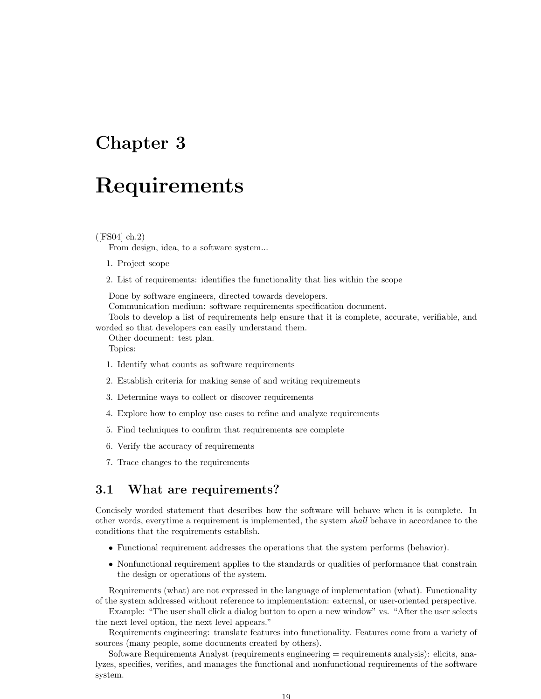# Chapter 3

# Requirements

#### $(FS04]$  ch.2)

From design, idea, to a software system...

- 1. Project scope
- 2. List of requirements: identifies the functionality that lies within the scope

Done by software engineers, directed towards developers.

Communication medium: software requirements specification document.

Tools to develop a list of requirements help ensure that it is complete, accurate, verifiable, and worded so that developers can easily understand them.

Other document: test plan. Topics:

- 1. Identify what counts as software requirements
- 2. Establish criteria for making sense of and writing requirements
- 3. Determine ways to collect or discover requirements
- 4. Explore how to employ use cases to refine and analyze requirements
- 5. Find techniques to confirm that requirements are complete
- 6. Verify the accuracy of requirements
- 7. Trace changes to the requirements

### 3.1 What are requirements?

Concisely worded statement that describes how the software will behave when it is complete. In other words, everytime a requirement is implemented, the system shall behave in accordance to the conditions that the requirements establish.

- Functional requirement addresses the operations that the system performs (behavior).
- Nonfunctional requirement applies to the standards or qualities of performance that constrain the design or operations of the system.

Requirements (what) are not expressed in the language of implementation (what). Functionality of the system addressed without reference to implementation: external, or user-oriented perspective.

Example: "The user shall click a dialog button to open a new window" vs. "After the user selects the next level option, the next level appears."

Requirements engineering: translate features into functionality. Features come from a variety of sources (many people, some documents created by others).

Software Requirements Analyst (requirements engineering = requirements analysis): elicits, analyzes, specifies, verifies, and manages the functional and nonfunctional requirements of the software system.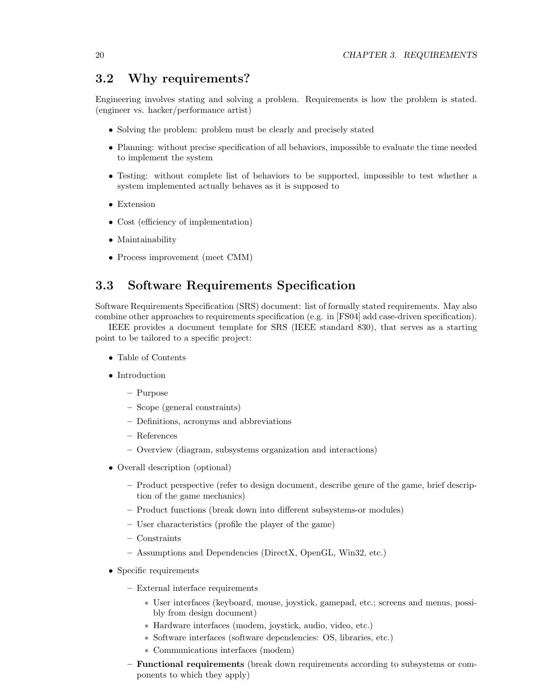# 3.2 Why requirements?

Engineering involves stating and solving a problem. Requirements is how the problem is stated. (engineer vs. hacker/performance artist)

- Solving the problem: problem must be clearly and precisely stated
- Planning: without precise specification of all behaviors, impossible to evaluate the time needed to implement the system
- Testing: without complete list of behaviors to be supported, impossible to test whether a system implemented actually behaves as it is supposed to
- Extension
- Cost (efficiency of implementation)
- Maintainability
- Process improvement (meet CMM)

# 3.3 Software Requirements Specification

Software Requirements Specification (SRS) document: list of formally stated requirements. May also combine other approaches to requirements specification (e.g. in [FS04] add case-driven specification).

IEEE provides a document template for SRS (IEEE standard 830), that serves as a starting point to be tailored to a specific project:

- Table of Contents
- Introduction
	- Purpose
	- Scope (general constraints)
	- Definitions, acronyms and abbreviations
	- References
	- Overview (diagram, subsystems organization and interactions)
- Overall description (optional)
	- Product perspective (refer to design document, describe genre of the game, brief description of the game mechanics)
	- Product functions (break down into different subsystems-or modules)
	- User characteristics (profile the player of the game)
	- Constraints
	- Assumptions and Dependencies (DirectX, OpenGL, Win32, etc.)
- Specific requirements
	- External interface requirements
		- ∗ User interfaces (keyboard, mouse, joystick, gamepad, etc.; screens and menus, possibly from design document)
		- ∗ Hardware interfaces (modem, joystick, audio, video, etc.)
		- ∗ Software interfaces (software dependencies: OS, libraries, etc.)
		- ∗ Communications interfaces (modem)
	- Functional requirements (break down requirements according to subsystems or components to which they apply)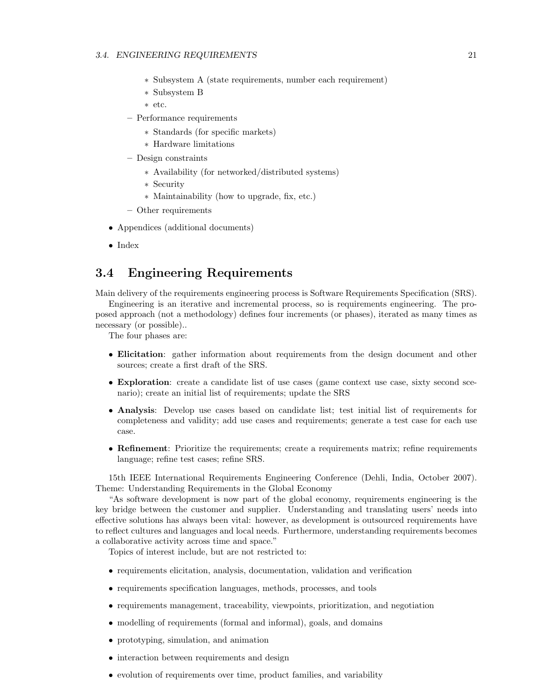#### 3.4. ENGINEERING REQUIREMENTS 21

- ∗ Subsystem A (state requirements, number each requirement)
- ∗ Subsystem B
- ∗ etc.
- Performance requirements
	- ∗ Standards (for specific markets)
	- ∗ Hardware limitations
- Design constraints
	- ∗ Availability (for networked/distributed systems)
	- ∗ Security
	- ∗ Maintainability (how to upgrade, fix, etc.)
- Other requirements
- Appendices (additional documents)
- Index

## 3.4 Engineering Requirements

Main delivery of the requirements engineering process is Software Requirements Specification (SRS).

Engineering is an iterative and incremental process, so is requirements engineering. The proposed approach (not a methodology) defines four increments (or phases), iterated as many times as necessary (or possible)..

The four phases are:

- Elicitation: gather information about requirements from the design document and other sources; create a first draft of the SRS.
- Exploration: create a candidate list of use cases (game context use case, sixty second scenario); create an initial list of requirements; update the SRS
- Analysis: Develop use cases based on candidate list; test initial list of requirements for completeness and validity; add use cases and requirements; generate a test case for each use case.
- Refinement: Prioritize the requirements; create a requirements matrix; refine requirements language; refine test cases; refine SRS.

15th IEEE International Requirements Engineering Conference (Dehli, India, October 2007). Theme: Understanding Requirements in the Global Economy

"As software development is now part of the global economy, requirements engineering is the key bridge between the customer and supplier. Understanding and translating users' needs into effective solutions has always been vital: however, as development is outsourced requirements have to reflect cultures and languages and local needs. Furthermore, understanding requirements becomes a collaborative activity across time and space."

Topics of interest include, but are not restricted to:

- requirements elicitation, analysis, documentation, validation and verification
- requirements specification languages, methods, processes, and tools
- requirements management, traceability, viewpoints, prioritization, and negotiation
- modelling of requirements (formal and informal), goals, and domains
- prototyping, simulation, and animation
- interaction between requirements and design
- evolution of requirements over time, product families, and variability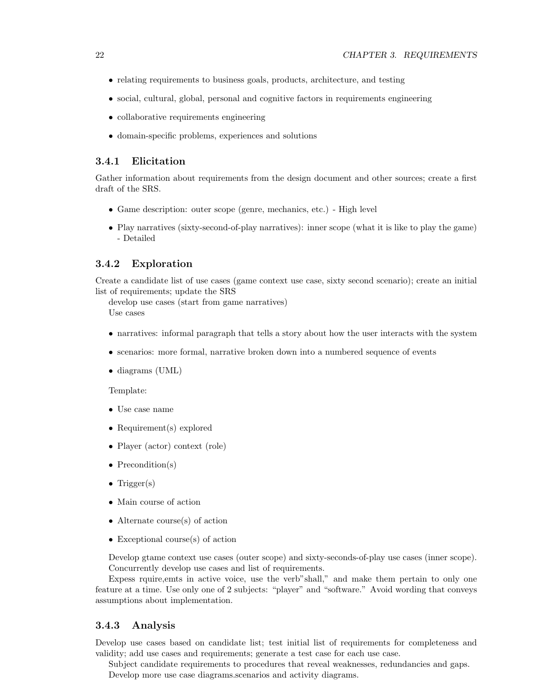- relating requirements to business goals, products, architecture, and testing
- social, cultural, global, personal and cognitive factors in requirements engineering
- collaborative requirements engineering
- domain-specific problems, experiences and solutions

#### 3.4.1 Elicitation

Gather information about requirements from the design document and other sources; create a first draft of the SRS.

- Game description: outer scope (genre, mechanics, etc.) High level
- Play narratives (sixty-second-of-play narratives): inner scope (what it is like to play the game) - Detailed

#### 3.4.2 Exploration

Create a candidate list of use cases (game context use case, sixty second scenario); create an initial list of requirements; update the SRS

develop use cases (start from game narratives) Use cases

- narratives: informal paragraph that tells a story about how the user interacts with the system
- scenarios: more formal, narrative broken down into a numbered sequence of events
- diagrams (UML)

#### Template:

- Use case name
- Requirement(s) explored
- Player (actor) context (role)
- Precondition(s)
- Trigger $(s)$
- Main course of action
- Alternate course(s) of action
- Exceptional course(s) of action

Develop gtame context use cases (outer scope) and sixty-seconds-of-play use cases (inner scope). Concurrently develop use cases and list of requirements.

Expess rquire,emts in active voice, use the verb"shall," and make them pertain to only one feature at a time. Use only one of 2 subjects: "player" and "software." Avoid wording that conveys assumptions about implementation.

#### 3.4.3 Analysis

Develop use cases based on candidate list; test initial list of requirements for completeness and validity; add use cases and requirements; generate a test case for each use case.

Subject candidate requirements to procedures that reveal weaknesses, redundancies and gaps. Develop more use case diagrams.scenarios and activity diagrams.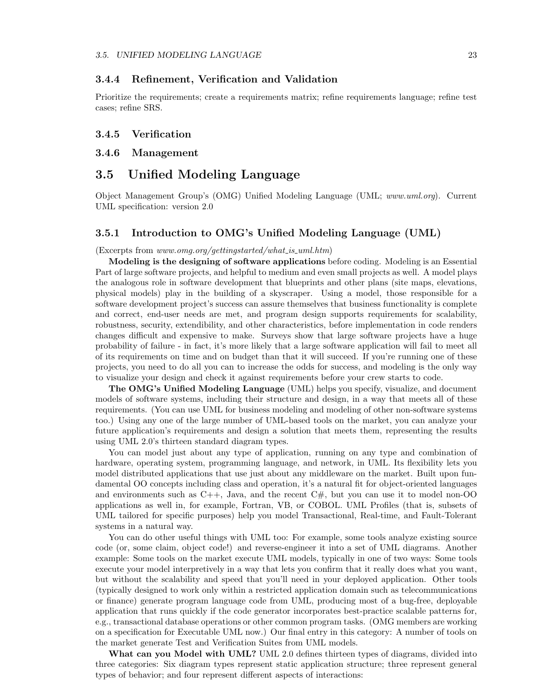#### 3.4.4 Refinement, Verification and Validation

Prioritize the requirements; create a requirements matrix; refine requirements language; refine test cases; refine SRS.

#### 3.4.5 Verification

#### 3.4.6 Management

# 3.5 Unified Modeling Language

Object Management Group's (OMG) Unified Modeling Language (UML; www.uml.org). Current UML specification: version 2.0

#### 3.5.1 Introduction to OMG's Unified Modeling Language (UML)

(Excerpts from www.omg.org/gettingstarted/what is uml.htm)

Modeling is the designing of software applications before coding. Modeling is an Essential Part of large software projects, and helpful to medium and even small projects as well. A model plays the analogous role in software development that blueprints and other plans (site maps, elevations, physical models) play in the building of a skyscraper. Using a model, those responsible for a software development project's success can assure themselves that business functionality is complete and correct, end-user needs are met, and program design supports requirements for scalability, robustness, security, extendibility, and other characteristics, before implementation in code renders changes difficult and expensive to make. Surveys show that large software projects have a huge probability of failure - in fact, it's more likely that a large software application will fail to meet all of its requirements on time and on budget than that it will succeed. If you're running one of these projects, you need to do all you can to increase the odds for success, and modeling is the only way to visualize your design and check it against requirements before your crew starts to code.

The OMG's Unified Modeling Language (UML) helps you specify, visualize, and document models of software systems, including their structure and design, in a way that meets all of these requirements. (You can use UML for business modeling and modeling of other non-software systems too.) Using any one of the large number of UML-based tools on the market, you can analyze your future application's requirements and design a solution that meets them, representing the results using UML 2.0's thirteen standard diagram types.

You can model just about any type of application, running on any type and combination of hardware, operating system, programming language, and network, in UML. Its flexibility lets you model distributed applications that use just about any middleware on the market. Built upon fundamental OO concepts including class and operation, it's a natural fit for object-oriented languages and environments such as  $C_{++}$ , Java, and the recent  $C_{\#}$ , but you can use it to model non-OO applications as well in, for example, Fortran, VB, or COBOL. UML Profiles (that is, subsets of UML tailored for specific purposes) help you model Transactional, Real-time, and Fault-Tolerant systems in a natural way.

You can do other useful things with UML too: For example, some tools analyze existing source code (or, some claim, object code!) and reverse-engineer it into a set of UML diagrams. Another example: Some tools on the market execute UML models, typically in one of two ways: Some tools execute your model interpretively in a way that lets you confirm that it really does what you want, but without the scalability and speed that you'll need in your deployed application. Other tools (typically designed to work only within a restricted application domain such as telecommunications or finance) generate program language code from UML, producing most of a bug-free, deployable application that runs quickly if the code generator incorporates best-practice scalable patterns for, e.g., transactional database operations or other common program tasks. (OMG members are working on a specification for Executable UML now.) Our final entry in this category: A number of tools on the market generate Test and Verification Suites from UML models.

What can you Model with UML? UML 2.0 defines thirteen types of diagrams, divided into three categories: Six diagram types represent static application structure; three represent general types of behavior; and four represent different aspects of interactions: